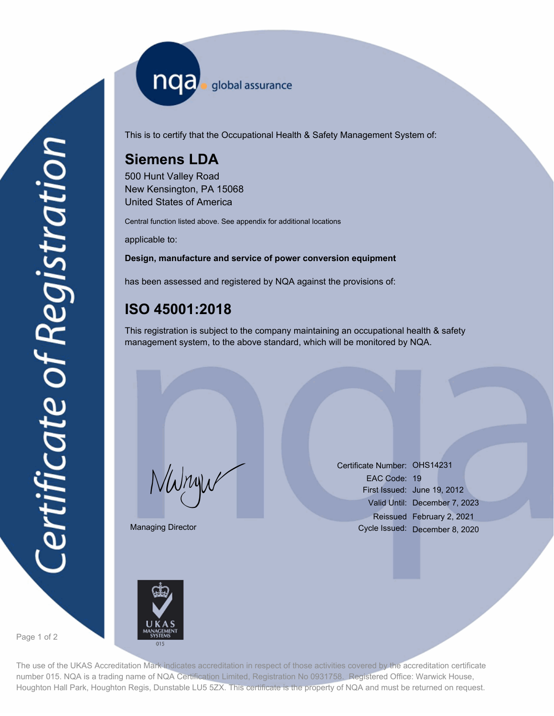nqa <sub>global assurance</sub>

This is to certify that the Occupational Health & Safety Management System of:

# **Siemens LDA**

500 Hunt Valley Road New Kensington, PA 15068 United States of America

Central function listed above. See appendix for additional locations

applicable to:

### **Design, manufacture and service of power conversion equipment**

has been assessed and registered by NQA against the provisions of:

## **ISO 45001:2018**

This registration is subject to the company maintaining an occupational health & safety management system, to the above standard, which will be monitored by NQA.

Managing Director

Certificate Number: OHS14231<br>EAC Code: 19<br>First Issued: June 19, 20<br>Valid Until: December EAC Code: 19 First Issued: June 19, 2012 Valid Until: December 7, 2023 Reissued February 2, 2021 Cycle Issued: December 8, 2020



Page 1 of 2

The use of the UKAS Accreditation Mark indicates accreditation in respect of those activities covered by the accreditation certificate number 015. NQA is a trading name of NQA Certification Limited, Registration No 0931758. Registered Office: Warwick House, Houghton Hall Park, Houghton Regis, Dunstable LU5 5ZX. This certificate is the property of NQA and must be returned on request.